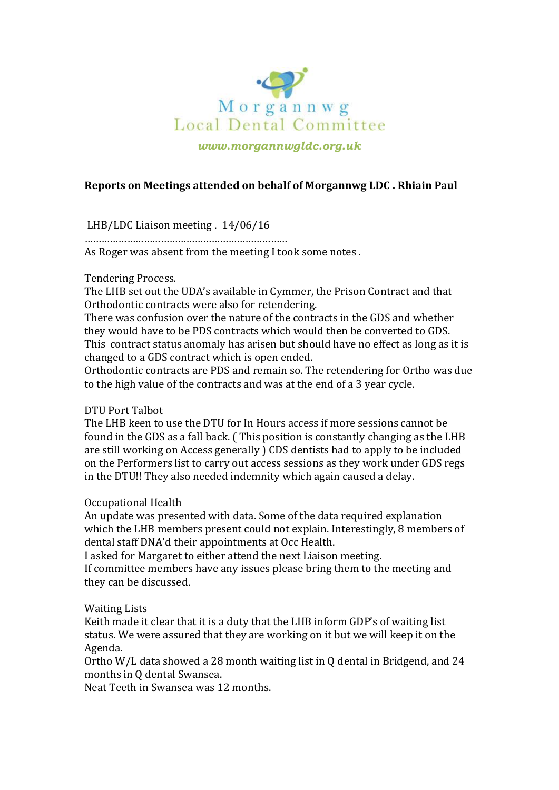

*www.morgannwgldc.org.uk*

# **Reports on Meetings attended on behalf of Morgannwg LDC . Rhiain Paul**

LHB/LDC Liaison meeting . 14/06/16

………………………………………………………………

As Roger was absent from the meeting I took some notes .

## Tendering Process.

The LHB set out the UDA's available in Cymmer, the Prison Contract and that Orthodontic contracts were also for retendering.

There was confusion over the nature of the contracts in the GDS and whether they would have to be PDS contracts which would then be converted to GDS. This contract status anomaly has arisen but should have no effect as long as it is changed to a GDS contract which is open ended.

Orthodontic contracts are PDS and remain so. The retendering for Ortho was due to the high value of the contracts and was at the end of a 3 year cycle.

## DTU Port Talbot

The LHB keen to use the DTU for In Hours access if more sessions cannot be found in the GDS as a fall back. ( This position is constantly changing as the LHB are still working on Access generally ) CDS dentists had to apply to be included on the Performers list to carry out access sessions as they work under GDS regs in the DTU!! They also needed indemnity which again caused a delay.

## Occupational Health

An update was presented with data. Some of the data required explanation which the LHB members present could not explain. Interestingly, 8 members of dental staff DNA'd their appointments at Occ Health.

I asked for Margaret to either attend the next Liaison meeting.

If committee members have any issues please bring them to the meeting and they can be discussed.

## Waiting Lists

Keith made it clear that it is a duty that the LHB inform GDP's of waiting list status. We were assured that they are working on it but we will keep it on the Agenda.

Ortho W/L data showed a 28 month waiting list in Q dental in Bridgend, and 24 months in Q dental Swansea.

Neat Teeth in Swansea was 12 months.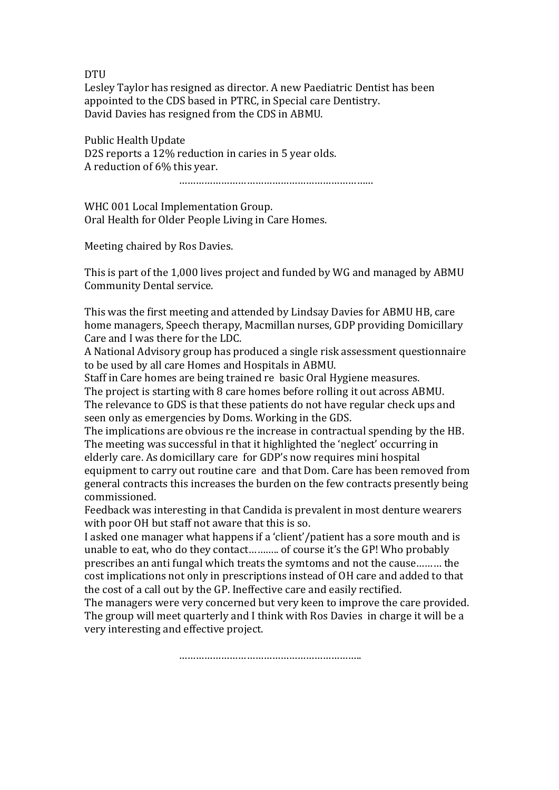DTU

Lesley Taylor has resigned as director. A new Paediatric Dentist has been appointed to the CDS based in PTRC, in Special care Dentistry. David Davies has resigned from the CDS in ABMU.

Public Health Update D2S reports a 12% reduction in caries in 5 year olds. A reduction of 6% this year.

……………………………………………………………

WHC 001 Local Implementation Group. Oral Health for Older People Living in Care Homes.

Meeting chaired by Ros Davies.

This is part of the 1,000 lives project and funded by WG and managed by ABMU Community Dental service.

This was the first meeting and attended by Lindsay Davies for ABMU HB, care home managers, Speech therapy, Macmillan nurses, GDP providing Domicillary Care and I was there for the LDC.

A National Advisory group has produced a single risk assessment questionnaire to be used by all care Homes and Hospitals in ABMU.

Staff in Care homes are being trained re basic Oral Hygiene measures. The project is starting with 8 care homes before rolling it out across ABMU. The relevance to GDS is that these patients do not have regular check ups and seen only as emergencies by Doms. Working in the GDS.

The implications are obvious re the increase in contractual spending by the HB. The meeting was successful in that it highlighted the 'neglect' occurring in elderly care. As domicillary care for GDP's now requires mini hospital equipment to carry out routine care and that Dom. Care has been removed from general contracts this increases the burden on the few contracts presently being commissioned.

Feedback was interesting in that Candida is prevalent in most denture wearers with poor OH but staff not aware that this is so.

I asked one manager what happens if a 'client'/patient has a sore mouth and is unable to eat, who do they contact……….. of course it's the GP! Who probably prescribes an anti fungal which treats the symtoms and not the cause……… the cost implications not only in prescriptions instead of OH care and added to that the cost of a call out by the GP. Ineffective care and easily rectified.

The managers were very concerned but very keen to improve the care provided. The group will meet quarterly and I think with Ros Davies in charge it will be a very interesting and effective project.

………………………………………………………..